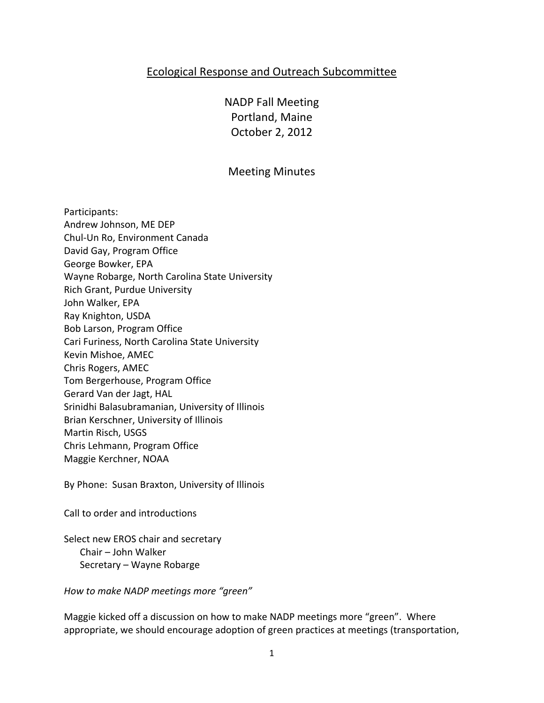# Ecological Response and Outreach Subcommittee

NADP Fall Meeting Portland, Maine October 2, 2012

#### Meeting Minutes

Participants: Andrew Johnson, ME DEP Chul-Un Ro, Environment Canada David Gay, Program Office George Bowker, EPA Wayne Robarge, North Carolina State University Rich Grant, Purdue University John Walker, EPA Ray Knighton, USDA Bob Larson, Program Office Cari Furiness, North Carolina State University Kevin Mishoe, AMEC Chris Rogers, AMEC Tom Bergerhouse, Program Office Gerard Van der Jagt, HAL Srinidhi Balasubramanian, University of Illinois Brian Kerschner, University of Illinois Martin Risch, USGS Chris Lehmann, Program Office Maggie Kerchner, NOAA

By Phone: Susan Braxton, University of Illinois

Call to order and introductions

Select new EROS chair and secretary Chair – John Walker Secretary – Wayne Robarge

*How to make NADP meetings more "green"*

Maggie kicked off a discussion on how to make NADP meetings more "green". Where appropriate, we should encourage adoption of green practices at meetings (transportation,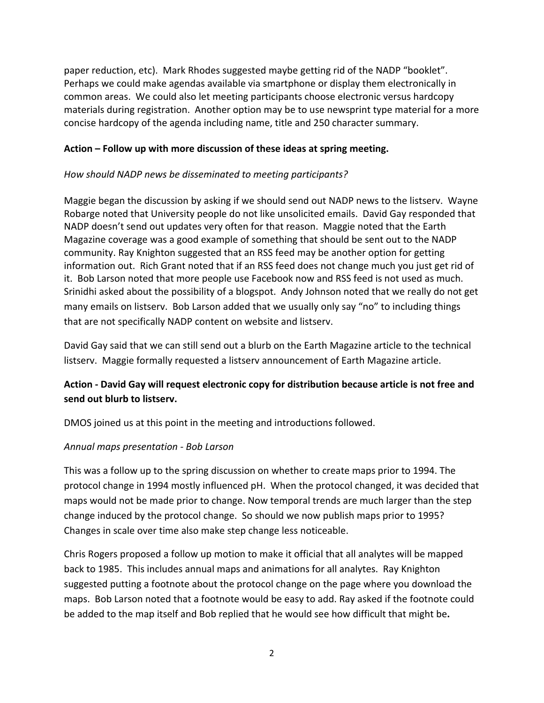paper reduction, etc). Mark Rhodes suggested maybe getting rid of the NADP "booklet". Perhaps we could make agendas available via smartphone or display them electronically in common areas. We could also let meeting participants choose electronic versus hardcopy materials during registration. Another option may be to use newsprint type material for a more concise hardcopy of the agenda including name, title and 250 character summary.

#### **Action – Follow up with more discussion of these ideas at spring meeting.**

#### *How should NADP news be disseminated to meeting participants?*

Maggie began the discussion by asking if we should send out NADP news to the listserv. Wayne Robarge noted that University people do not like unsolicited emails. David Gay responded that NADP doesn't send out updates very often for that reason. Maggie noted that the Earth Magazine coverage was a good example of something that should be sent out to the NADP community. Ray Knighton suggested that an RSS feed may be another option for getting information out. Rich Grant noted that if an RSS feed does not change much you just get rid of it. Bob Larson noted that more people use Facebook now and RSS feed is not used as much. Srinidhi asked about the possibility of a blogspot. Andy Johnson noted that we really do not get many emails on listserv. Bob Larson added that we usually only say "no" to including things that are not specifically NADP content on website and listserv.

David Gay said that we can still send out a blurb on the Earth Magazine article to the technical listserv. Maggie formally requested a listserv announcement of Earth Magazine article.

# **Action - David Gay will request electronic copy for distribution because article is not free and send out blurb to listserv.**

DMOS joined us at this point in the meeting and introductions followed.

#### *Annual maps presentation - Bob Larson*

This was a follow up to the spring discussion on whether to create maps prior to 1994. The protocol change in 1994 mostly influenced pH. When the protocol changed, it was decided that maps would not be made prior to change. Now temporal trends are much larger than the step change induced by the protocol change. So should we now publish maps prior to 1995? Changes in scale over time also make step change less noticeable.

Chris Rogers proposed a follow up motion to make it official that all analytes will be mapped back to 1985. This includes annual maps and animations for all analytes. Ray Knighton suggested putting a footnote about the protocol change on the page where you download the maps. Bob Larson noted that a footnote would be easy to add. Ray asked if the footnote could be added to the map itself and Bob replied that he would see how difficult that might be**.**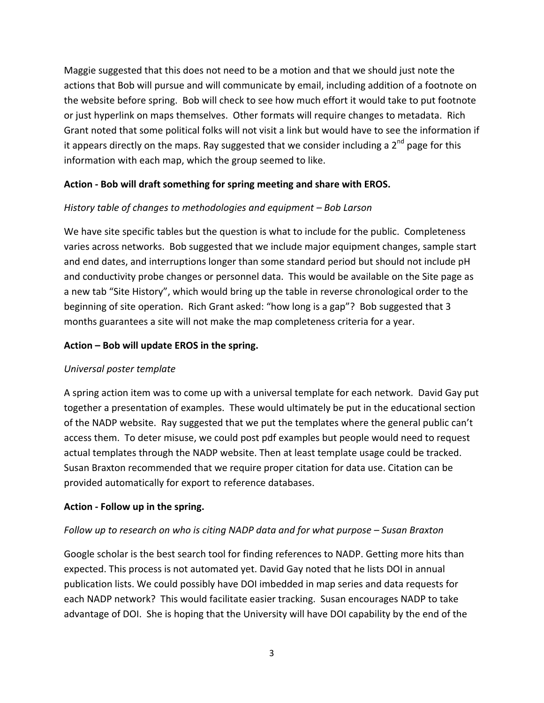Maggie suggested that this does not need to be a motion and that we should just note the actions that Bob will pursue and will communicate by email, including addition of a footnote on the website before spring. Bob will check to see how much effort it would take to put footnote or just hyperlink on maps themselves. Other formats will require changes to metadata. Rich Grant noted that some political folks will not visit a link but would have to see the information if it appears directly on the maps. Ray suggested that we consider including a  $2^{nd}$  page for this information with each map, which the group seemed to like.

## **Action - Bob will draft something for spring meeting and share with EROS.**

## *History table of changes to methodologies and equipment – Bob Larson*

We have site specific tables but the question is what to include for the public. Completeness varies across networks. Bob suggested that we include major equipment changes, sample start and end dates, and interruptions longer than some standard period but should not include pH and conductivity probe changes or personnel data. This would be available on the Site page as a new tab "Site History", which would bring up the table in reverse chronological order to the beginning of site operation. Rich Grant asked: "how long is a gap"? Bob suggested that 3 months guarantees a site will not make the map completeness criteria for a year.

## **Action – Bob will update EROS in the spring.**

## *Universal poster template*

A spring action item was to come up with a universal template for each network. David Gay put together a presentation of examples. These would ultimately be put in the educational section of the NADP website. Ray suggested that we put the templates where the general public can't access them. To deter misuse, we could post pdf examples but people would need to request actual templates through the NADP website. Then at least template usage could be tracked. Susan Braxton recommended that we require proper citation for data use. Citation can be provided automatically for export to reference databases.

## **Action - Follow up in the spring.**

## *Follow up to research on who is citing NADP data and for what purpose – Susan Braxton*

Google scholar is the best search tool for finding references to NADP. Getting more hits than expected. This process is not automated yet. David Gay noted that he lists DOI in annual publication lists. We could possibly have DOI imbedded in map series and data requests for each NADP network? This would facilitate easier tracking. Susan encourages NADP to take advantage of DOI. She is hoping that the University will have DOI capability by the end of the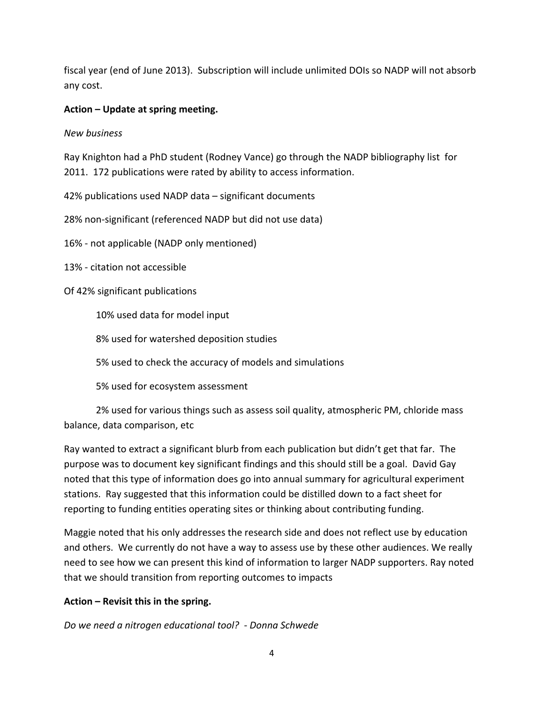fiscal year (end of June 2013). Subscription will include unlimited DOIs so NADP will not absorb any cost.

# **Action – Update at spring meeting.**

*New business*

Ray Knighton had a PhD student (Rodney Vance) go through the NADP bibliography list for 2011. 172 publications were rated by ability to access information.

42% publications used NADP data – significant documents

28% non-significant (referenced NADP but did not use data)

16% - not applicable (NADP only mentioned)

13% - citation not accessible

Of 42% significant publications

10% used data for model input

8% used for watershed deposition studies

5% used to check the accuracy of models and simulations

5% used for ecosystem assessment

2% used for various things such as assess soil quality, atmospheric PM, chloride mass balance, data comparison, etc

Ray wanted to extract a significant blurb from each publication but didn't get that far. The purpose was to document key significant findings and this should still be a goal. David Gay noted that this type of information does go into annual summary for agricultural experiment stations. Ray suggested that this information could be distilled down to a fact sheet for reporting to funding entities operating sites or thinking about contributing funding.

Maggie noted that his only addresses the research side and does not reflect use by education and others. We currently do not have a way to assess use by these other audiences. We really need to see how we can present this kind of information to larger NADP supporters. Ray noted that we should transition from reporting outcomes to impacts

# **Action – Revisit this in the spring.**

*Do we need a nitrogen educational tool? - Donna Schwede*